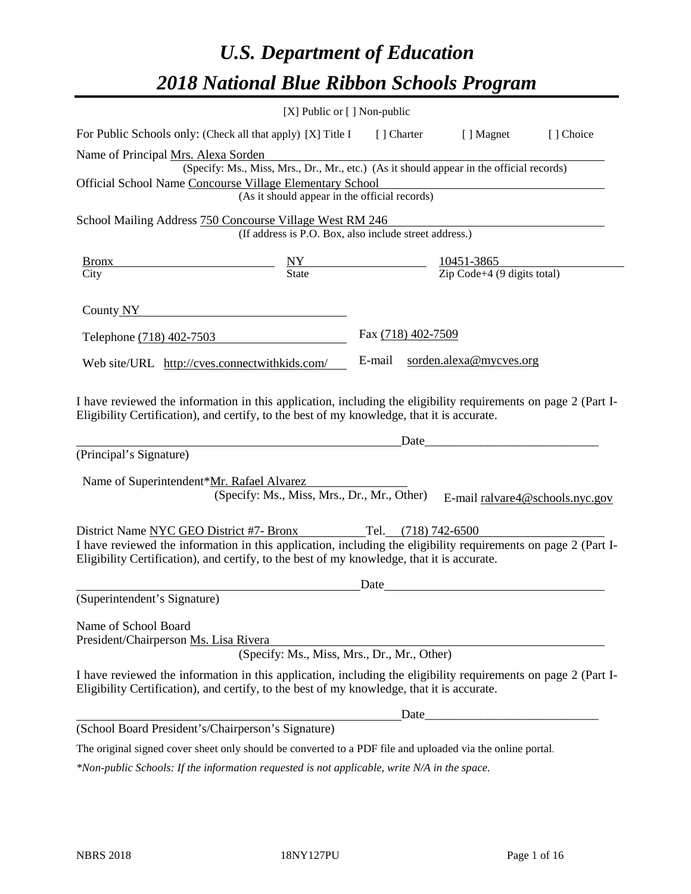# *U.S. Department of Education 2018 National Blue Ribbon Schools Program*

|                                                                                                                                                                                                              | [X] Public or [] Non-public                                                              |                     |                                                         |           |
|--------------------------------------------------------------------------------------------------------------------------------------------------------------------------------------------------------------|------------------------------------------------------------------------------------------|---------------------|---------------------------------------------------------|-----------|
| For Public Schools only: (Check all that apply) [X] Title I [] Charter                                                                                                                                       |                                                                                          |                     | [ ] Magnet                                              | [] Choice |
| Name of Principal Mrs. Alexa Sorden                                                                                                                                                                          |                                                                                          |                     |                                                         |           |
|                                                                                                                                                                                                              | (Specify: Ms., Miss, Mrs., Dr., Mr., etc.) (As it should appear in the official records) |                     |                                                         |           |
| Official School Name Concourse Village Elementary School                                                                                                                                                     | (As it should appear in the official records)                                            |                     |                                                         |           |
|                                                                                                                                                                                                              |                                                                                          |                     |                                                         |           |
| School Mailing Address 750 Concourse Village West RM 246                                                                                                                                                     | (If address is P.O. Box, also include street address.)                                   |                     |                                                         |           |
| Bronx                                                                                                                                                                                                        | $\frac{NY}{State}$                                                                       |                     | $\frac{10451-3865}{\text{Zip Code}+4 (9 digits total)}$ |           |
| City                                                                                                                                                                                                         |                                                                                          |                     |                                                         |           |
| County NY                                                                                                                                                                                                    |                                                                                          |                     |                                                         |           |
| Telephone (718) 402-7503                                                                                                                                                                                     |                                                                                          | Fax (718) 402-7509  |                                                         |           |
| Web site/URL http://cves.connectwithkids.com/                                                                                                                                                                |                                                                                          | E-mail              | sorden.alexa@mycves.org                                 |           |
| (Principal's Signature)<br>Name of Superintendent*Mr. Rafael Alvarez                                                                                                                                         | (Specify: Ms., Miss, Mrs., Dr., Mr., Other)                                              | Date                | E-mail ralvare4@schools.nyc.gov                         |           |
| District Name NYC GEO District #7- Bronx                                                                                                                                                                     |                                                                                          | Tel. (718) 742-6500 |                                                         |           |
| I have reviewed the information in this application, including the eligibility requirements on page 2 (Part I-<br>Eligibility Certification), and certify, to the best of my knowledge, that it is accurate. |                                                                                          |                     |                                                         |           |
|                                                                                                                                                                                                              |                                                                                          | Date                |                                                         |           |
| (Superintendent's Signature)                                                                                                                                                                                 |                                                                                          |                     |                                                         |           |
| Name of School Board<br>President/Chairperson Ms. Lisa Rivera                                                                                                                                                | (Specify: Ms., Miss, Mrs., Dr., Mr., Other)                                              |                     |                                                         |           |
| I have reviewed the information in this application, including the eligibility requirements on page 2 (Part I-<br>Eligibility Certification), and certify, to the best of my knowledge, that it is accurate. |                                                                                          |                     |                                                         |           |
|                                                                                                                                                                                                              |                                                                                          | Date_               |                                                         |           |
| (School Board President's/Chairperson's Signature)                                                                                                                                                           |                                                                                          |                     |                                                         |           |
| The original signed cover sheet only should be converted to a PDF file and uploaded via the online portal.                                                                                                   |                                                                                          |                     |                                                         |           |

*\*Non-public Schools: If the information requested is not applicable, write N/A in the space.*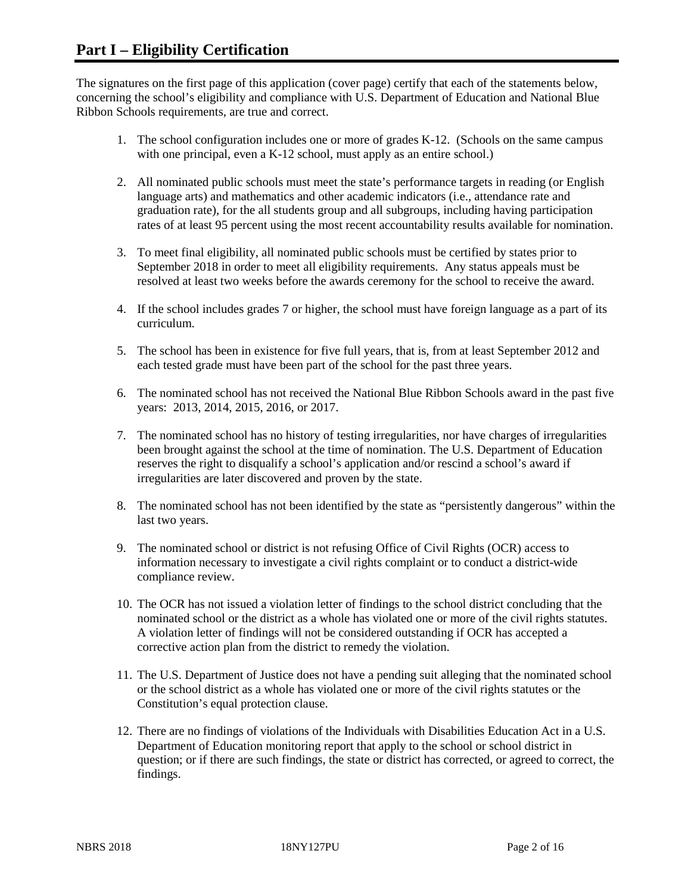The signatures on the first page of this application (cover page) certify that each of the statements below, concerning the school's eligibility and compliance with U.S. Department of Education and National Blue Ribbon Schools requirements, are true and correct.

- 1. The school configuration includes one or more of grades K-12. (Schools on the same campus with one principal, even a K-12 school, must apply as an entire school.)
- 2. All nominated public schools must meet the state's performance targets in reading (or English language arts) and mathematics and other academic indicators (i.e., attendance rate and graduation rate), for the all students group and all subgroups, including having participation rates of at least 95 percent using the most recent accountability results available for nomination.
- 3. To meet final eligibility, all nominated public schools must be certified by states prior to September 2018 in order to meet all eligibility requirements. Any status appeals must be resolved at least two weeks before the awards ceremony for the school to receive the award.
- 4. If the school includes grades 7 or higher, the school must have foreign language as a part of its curriculum.
- 5. The school has been in existence for five full years, that is, from at least September 2012 and each tested grade must have been part of the school for the past three years.
- 6. The nominated school has not received the National Blue Ribbon Schools award in the past five years: 2013, 2014, 2015, 2016, or 2017.
- 7. The nominated school has no history of testing irregularities, nor have charges of irregularities been brought against the school at the time of nomination. The U.S. Department of Education reserves the right to disqualify a school's application and/or rescind a school's award if irregularities are later discovered and proven by the state.
- 8. The nominated school has not been identified by the state as "persistently dangerous" within the last two years.
- 9. The nominated school or district is not refusing Office of Civil Rights (OCR) access to information necessary to investigate a civil rights complaint or to conduct a district-wide compliance review.
- 10. The OCR has not issued a violation letter of findings to the school district concluding that the nominated school or the district as a whole has violated one or more of the civil rights statutes. A violation letter of findings will not be considered outstanding if OCR has accepted a corrective action plan from the district to remedy the violation.
- 11. The U.S. Department of Justice does not have a pending suit alleging that the nominated school or the school district as a whole has violated one or more of the civil rights statutes or the Constitution's equal protection clause.
- 12. There are no findings of violations of the Individuals with Disabilities Education Act in a U.S. Department of Education monitoring report that apply to the school or school district in question; or if there are such findings, the state or district has corrected, or agreed to correct, the findings.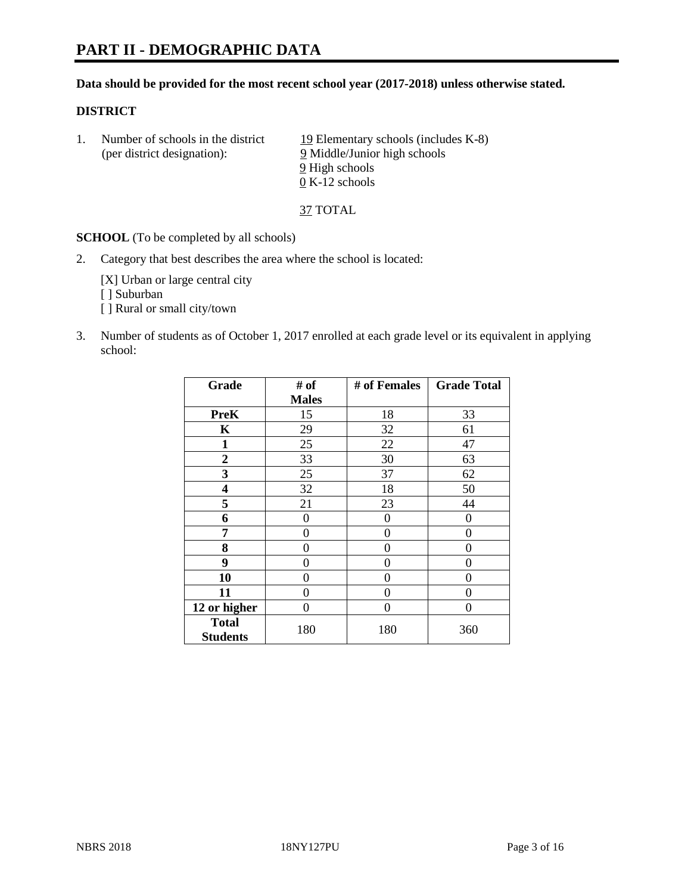#### **Data should be provided for the most recent school year (2017-2018) unless otherwise stated.**

#### **DISTRICT**

1. Number of schools in the district  $19$  Elementary schools (includes K-8) (per district designation): 9 Middle/Junior high schools 9 High schools 0 K-12 schools

37 TOTAL

**SCHOOL** (To be completed by all schools)

2. Category that best describes the area where the school is located:

[X] Urban or large central city [ ] Suburban [] Rural or small city/town

3. Number of students as of October 1, 2017 enrolled at each grade level or its equivalent in applying school:

| Grade                           | # of         | # of Females | <b>Grade Total</b> |
|---------------------------------|--------------|--------------|--------------------|
|                                 | <b>Males</b> |              |                    |
| <b>PreK</b>                     | 15           | 18           | 33                 |
| K                               | 29           | 32           | 61                 |
| 1                               | 25           | 22           | 47                 |
| $\overline{2}$                  | 33           | 30           | 63                 |
| 3                               | 25           | 37           | 62                 |
| 4                               | 32           | 18           | 50                 |
| 5                               | 21           | 23           | 44                 |
| 6                               | 0            | 0            | 0                  |
| 7                               | 0            | 0            | 0                  |
| 8                               | 0            | 0            | 0                  |
| 9                               | 0            | 0            | 0                  |
| 10                              | 0            | 0            | 0                  |
| 11                              | 0            | 0            | 0                  |
| 12 or higher                    | 0            | 0            | 0                  |
| <b>Total</b><br><b>Students</b> | 180          | 180          | 360                |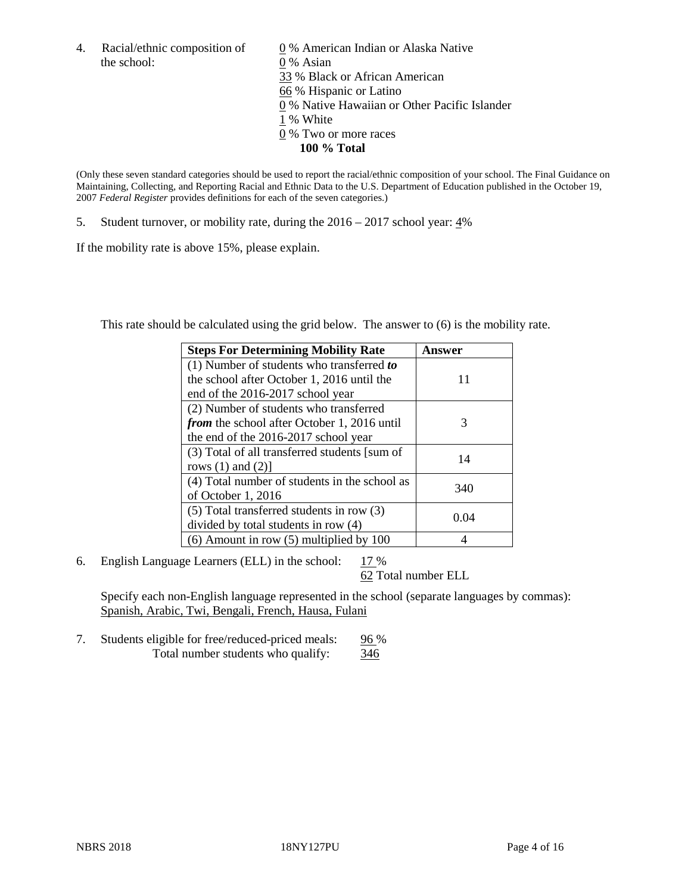the school: 0 % Asian

4. Racial/ethnic composition of  $\qquad 0\%$  American Indian or Alaska Native 33 % Black or African American 66 % Hispanic or Latino 0 % Native Hawaiian or Other Pacific Islander 1 % White 0 % Two or more races **100 % Total**

(Only these seven standard categories should be used to report the racial/ethnic composition of your school. The Final Guidance on Maintaining, Collecting, and Reporting Racial and Ethnic Data to the U.S. Department of Education published in the October 19, 2007 *Federal Register* provides definitions for each of the seven categories.)

5. Student turnover, or mobility rate, during the 2016 – 2017 school year: 4%

If the mobility rate is above 15%, please explain.

This rate should be calculated using the grid below. The answer to (6) is the mobility rate.

| <b>Steps For Determining Mobility Rate</b>         | Answer |
|----------------------------------------------------|--------|
| $(1)$ Number of students who transferred to        |        |
| the school after October 1, 2016 until the         | 11     |
| end of the 2016-2017 school year                   |        |
| (2) Number of students who transferred             |        |
| <i>from</i> the school after October 1, 2016 until | 3      |
| the end of the 2016-2017 school year               |        |
| (3) Total of all transferred students [sum of      | 14     |
| rows $(1)$ and $(2)$ ]                             |        |
| (4) Total number of students in the school as      |        |
| of October 1, 2016                                 | 340    |
| (5) Total transferred students in row (3)          |        |
| divided by total students in row (4)               | 0.04   |
| $(6)$ Amount in row $(5)$ multiplied by 100        |        |

6. English Language Learners (ELL) in the school:  $17\%$ 

62 Total number ELL

Specify each non-English language represented in the school (separate languages by commas): Spanish, Arabic, Twi, Bengali, French, Hausa, Fulani

7. Students eligible for free/reduced-priced meals: 96 % Total number students who qualify:  $\frac{346}{346}$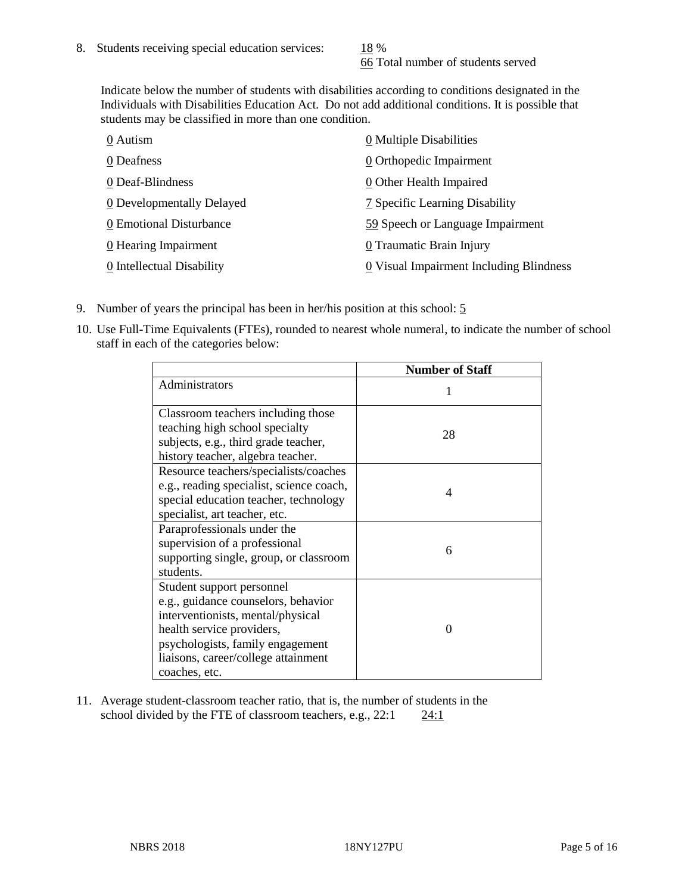66 Total number of students served

Indicate below the number of students with disabilities according to conditions designated in the Individuals with Disabilities Education Act. Do not add additional conditions. It is possible that students may be classified in more than one condition.

| 0 Autism                  | $\underline{0}$ Multiple Disabilities   |
|---------------------------|-----------------------------------------|
| 0 Deafness                | 0 Orthopedic Impairment                 |
| 0 Deaf-Blindness          | 0 Other Health Impaired                 |
| 0 Developmentally Delayed | 7 Specific Learning Disability          |
| 0 Emotional Disturbance   | 59 Speech or Language Impairment        |
| 0 Hearing Impairment      | 0 Traumatic Brain Injury                |
| 0 Intellectual Disability | 0 Visual Impairment Including Blindness |

- 9. Number of years the principal has been in her/his position at this school: 5
- 10. Use Full-Time Equivalents (FTEs), rounded to nearest whole numeral, to indicate the number of school staff in each of the categories below:

|                                                                                                                                                                                                                                | <b>Number of Staff</b> |
|--------------------------------------------------------------------------------------------------------------------------------------------------------------------------------------------------------------------------------|------------------------|
| Administrators                                                                                                                                                                                                                 |                        |
| Classroom teachers including those<br>teaching high school specialty<br>subjects, e.g., third grade teacher,<br>history teacher, algebra teacher.                                                                              | 28                     |
| Resource teachers/specialists/coaches<br>e.g., reading specialist, science coach,<br>special education teacher, technology<br>specialist, art teacher, etc.                                                                    | 4                      |
| Paraprofessionals under the<br>supervision of a professional<br>supporting single, group, or classroom<br>students.                                                                                                            | 6                      |
| Student support personnel<br>e.g., guidance counselors, behavior<br>interventionists, mental/physical<br>health service providers,<br>psychologists, family engagement<br>liaisons, career/college attainment<br>coaches, etc. | ∩                      |

11. Average student-classroom teacher ratio, that is, the number of students in the school divided by the FTE of classroom teachers, e.g.,  $22:1$  24:1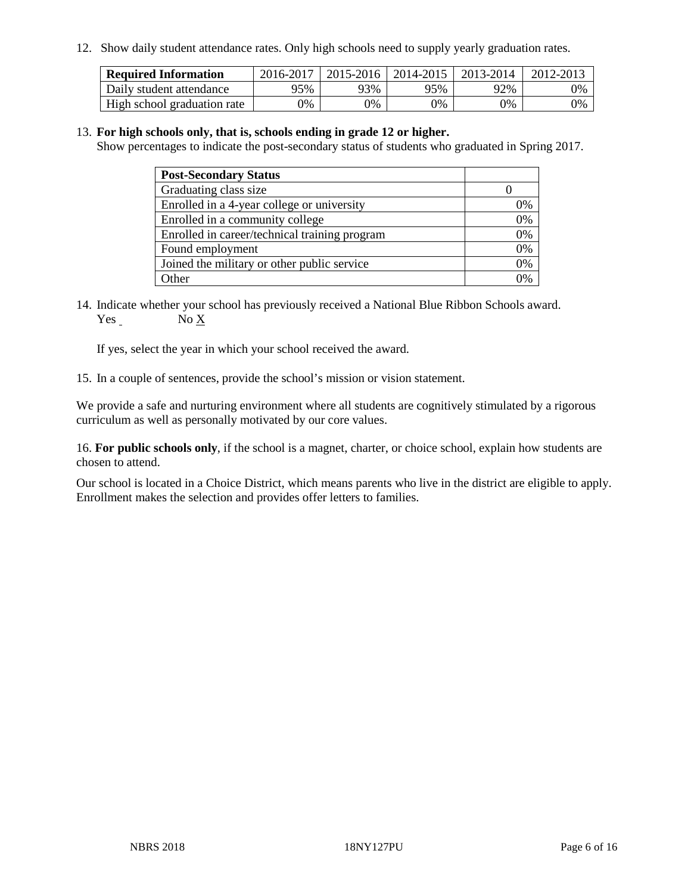12. Show daily student attendance rates. Only high schools need to supply yearly graduation rates.

| <b>Required Information</b> | 2016-2017 | 2015-2016 | 2014-2015 | 2013-2014 | 2012-2013 |
|-----------------------------|-----------|-----------|-----------|-----------|-----------|
| Daily student attendance    | 95%       | 93%       | 95%       | 92%       | 0%        |
| High school graduation rate | 0%        | 0%        | 0%        | 9%        | 0%        |

#### 13. **For high schools only, that is, schools ending in grade 12 or higher.**

Show percentages to indicate the post-secondary status of students who graduated in Spring 2017.

| <b>Post-Secondary Status</b>                  |    |
|-----------------------------------------------|----|
| Graduating class size                         |    |
| Enrolled in a 4-year college or university    | 0% |
| Enrolled in a community college               | 0% |
| Enrolled in career/technical training program | 0% |
| Found employment                              | 0% |
| Joined the military or other public service   | 0% |
| Other                                         | ገ% |

14. Indicate whether your school has previously received a National Blue Ribbon Schools award. Yes No X

If yes, select the year in which your school received the award.

15. In a couple of sentences, provide the school's mission or vision statement.

We provide a safe and nurturing environment where all students are cognitively stimulated by a rigorous curriculum as well as personally motivated by our core values.

16. **For public schools only**, if the school is a magnet, charter, or choice school, explain how students are chosen to attend.

Our school is located in a Choice District, which means parents who live in the district are eligible to apply. Enrollment makes the selection and provides offer letters to families.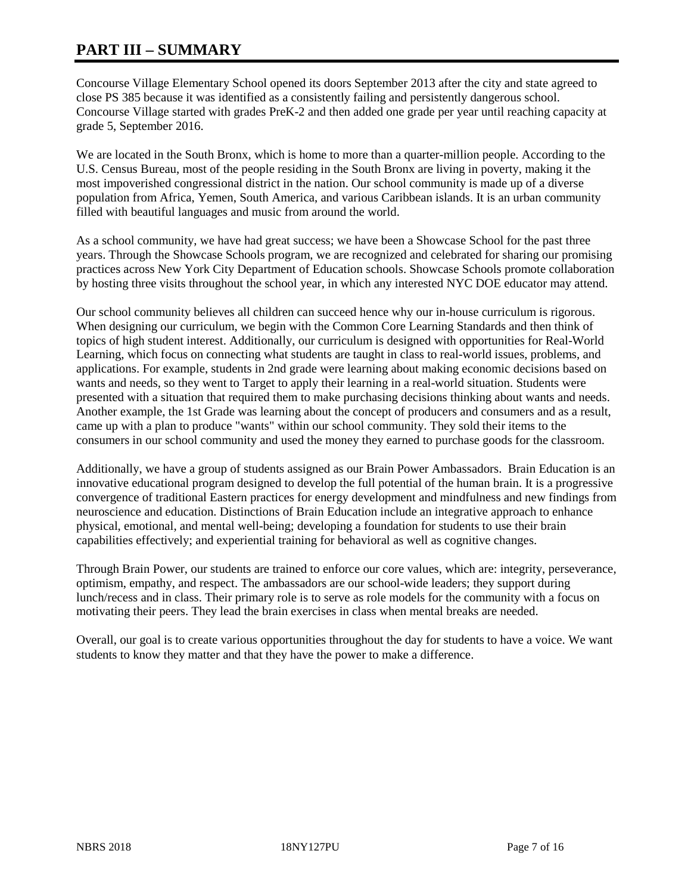# **PART III – SUMMARY**

Concourse Village Elementary School opened its doors September 2013 after the city and state agreed to close PS 385 because it was identified as a consistently failing and persistently dangerous school. Concourse Village started with grades PreK-2 and then added one grade per year until reaching capacity at grade 5, September 2016.

We are located in the South Bronx, which is home to more than a quarter-million people. According to the U.S. Census Bureau, most of the people residing in the South Bronx are living in poverty, making it the most impoverished congressional district in the nation. Our school community is made up of a diverse population from Africa, Yemen, South America, and various Caribbean islands. It is an urban community filled with beautiful languages and music from around the world.

As a school community, we have had great success; we have been a Showcase School for the past three years. Through the Showcase Schools program, we are recognized and celebrated for sharing our promising practices across New York City Department of Education schools. Showcase Schools promote collaboration by hosting three visits throughout the school year, in which any interested NYC DOE educator may attend.

Our school community believes all children can succeed hence why our in-house curriculum is rigorous. When designing our curriculum, we begin with the Common Core Learning Standards and then think of topics of high student interest. Additionally, our curriculum is designed with opportunities for Real-World Learning, which focus on connecting what students are taught in class to real-world issues, problems, and applications. For example, students in 2nd grade were learning about making economic decisions based on wants and needs, so they went to Target to apply their learning in a real-world situation. Students were presented with a situation that required them to make purchasing decisions thinking about wants and needs. Another example, the 1st Grade was learning about the concept of producers and consumers and as a result, came up with a plan to produce "wants" within our school community. They sold their items to the consumers in our school community and used the money they earned to purchase goods for the classroom.

Additionally, we have a group of students assigned as our Brain Power Ambassadors. Brain Education is an innovative educational program designed to develop the full potential of the human brain. It is a progressive convergence of traditional Eastern practices for energy development and mindfulness and new findings from neuroscience and education. Distinctions of Brain Education include an integrative approach to enhance physical, emotional, and mental well-being; developing a foundation for students to use their brain capabilities effectively; and experiential training for behavioral as well as cognitive changes.

Through Brain Power, our students are trained to enforce our core values, which are: integrity, perseverance, optimism, empathy, and respect. The ambassadors are our school-wide leaders; they support during lunch/recess and in class. Their primary role is to serve as role models for the community with a focus on motivating their peers. They lead the brain exercises in class when mental breaks are needed.

Overall, our goal is to create various opportunities throughout the day for students to have a voice. We want students to know they matter and that they have the power to make a difference.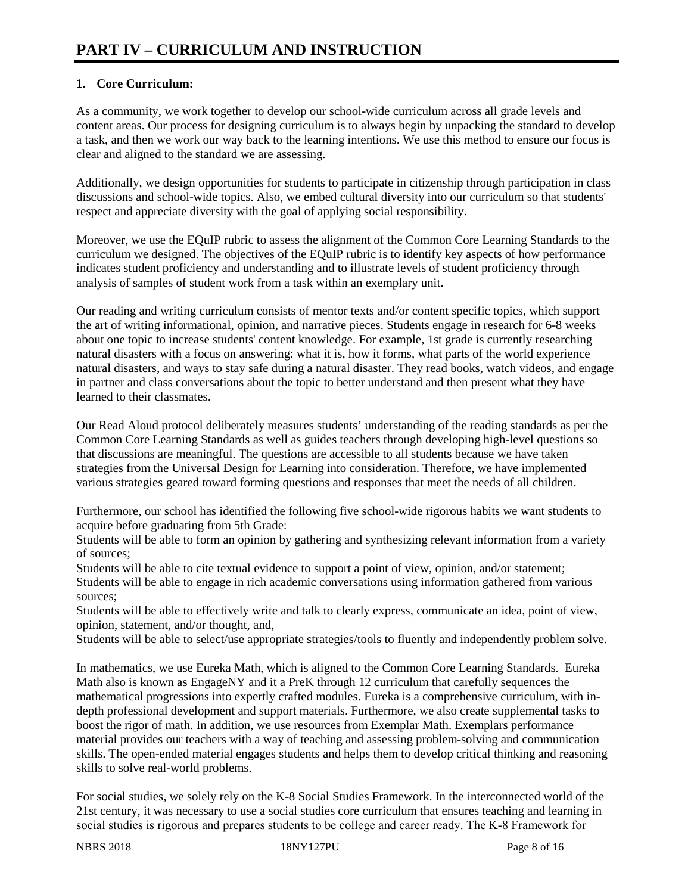# **1. Core Curriculum:**

As a community, we work together to develop our school-wide curriculum across all grade levels and content areas. Our process for designing curriculum is to always begin by unpacking the standard to develop a task, and then we work our way back to the learning intentions. We use this method to ensure our focus is clear and aligned to the standard we are assessing.

Additionally, we design opportunities for students to participate in citizenship through participation in class discussions and school-wide topics. Also, we embed cultural diversity into our curriculum so that students' respect and appreciate diversity with the goal of applying social responsibility.

Moreover, we use the EQuIP rubric to assess the alignment of the Common Core Learning Standards to the curriculum we designed. The objectives of the EQuIP rubric is to identify key aspects of how performance indicates student proficiency and understanding and to illustrate levels of student proficiency through analysis of samples of student work from a task within an exemplary unit.

Our reading and writing curriculum consists of mentor texts and/or content specific topics, which support the art of writing informational, opinion, and narrative pieces. Students engage in research for 6-8 weeks about one topic to increase students' content knowledge. For example, 1st grade is currently researching natural disasters with a focus on answering: what it is, how it forms, what parts of the world experience natural disasters, and ways to stay safe during a natural disaster. They read books, watch videos, and engage in partner and class conversations about the topic to better understand and then present what they have learned to their classmates.

Our Read Aloud protocol deliberately measures students' understanding of the reading standards as per the Common Core Learning Standards as well as guides teachers through developing high-level questions so that discussions are meaningful. The questions are accessible to all students because we have taken strategies from the Universal Design for Learning into consideration. Therefore, we have implemented various strategies geared toward forming questions and responses that meet the needs of all children.

Furthermore, our school has identified the following five school-wide rigorous habits we want students to acquire before graduating from 5th Grade:

Students will be able to form an opinion by gathering and synthesizing relevant information from a variety of sources;

Students will be able to cite textual evidence to support a point of view, opinion, and/or statement; Students will be able to engage in rich academic conversations using information gathered from various sources;

Students will be able to effectively write and talk to clearly express, communicate an idea, point of view, opinion, statement, and/or thought, and,

Students will be able to select/use appropriate strategies/tools to fluently and independently problem solve.

In mathematics, we use Eureka Math, which is aligned to the Common Core Learning Standards. Eureka Math also is known as EngageNY and it a PreK through 12 curriculum that carefully sequences the mathematical progressions into expertly crafted modules. Eureka is a comprehensive curriculum, with indepth professional development and support materials. Furthermore, we also create supplemental tasks to boost the rigor of math. In addition, we use resources from Exemplar Math. Exemplars performance material provides our teachers with a way of teaching and assessing problem-solving and communication skills. The open-ended material engages students and helps them to develop critical thinking and reasoning skills to solve real-world problems.

For social studies, we solely rely on the K-8 Social Studies Framework. In the interconnected world of the 21st century, it was necessary to use a social studies core curriculum that ensures teaching and learning in social studies is rigorous and prepares students to be college and career ready. The K‐8 Framework for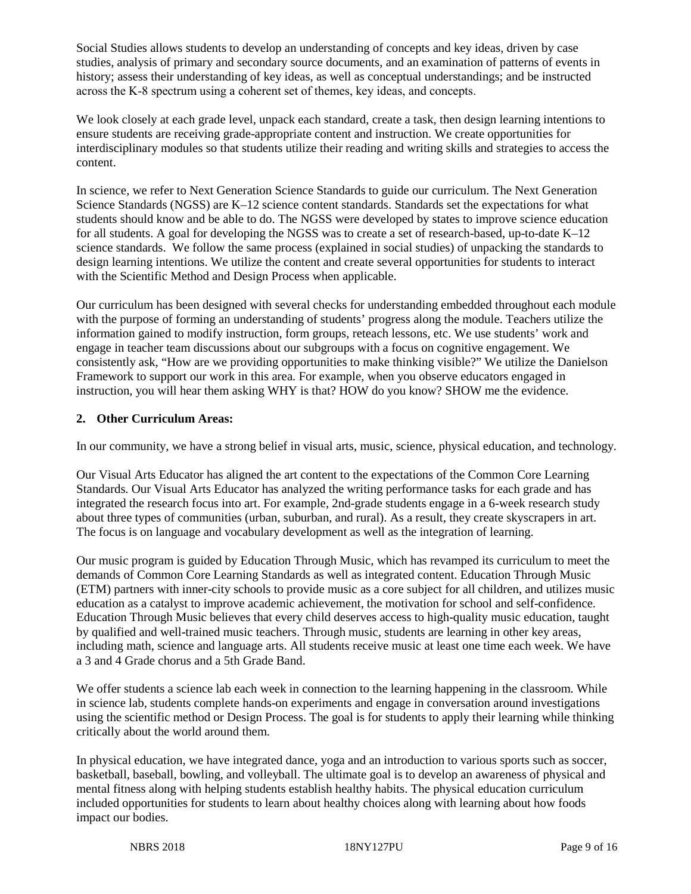Social Studies allows students to develop an understanding of concepts and key ideas, driven by case studies, analysis of primary and secondary source documents, and an examination of patterns of events in history; assess their understanding of key ideas, as well as conceptual understandings; and be instructed across the K‐8 spectrum using a coherent set of themes, key ideas, and concepts.

We look closely at each grade level, unpack each standard, create a task, then design learning intentions to ensure students are receiving grade-appropriate content and instruction. We create opportunities for interdisciplinary modules so that students utilize their reading and writing skills and strategies to access the content.

In science, we refer to Next Generation Science Standards to guide our curriculum. The Next Generation Science Standards (NGSS) are K–12 science content standards. Standards set the expectations for what students should know and be able to do. The NGSS were developed by states to improve science education for all students. A goal for developing the NGSS was to create a set of research-based, up-to-date K–12 science standards. We follow the same process (explained in social studies) of unpacking the standards to design learning intentions. We utilize the content and create several opportunities for students to interact with the Scientific Method and Design Process when applicable.

Our curriculum has been designed with several checks for understanding embedded throughout each module with the purpose of forming an understanding of students' progress along the module. Teachers utilize the information gained to modify instruction, form groups, reteach lessons, etc. We use students' work and engage in teacher team discussions about our subgroups with a focus on cognitive engagement. We consistently ask, "How are we providing opportunities to make thinking visible?" We utilize the Danielson Framework to support our work in this area. For example, when you observe educators engaged in instruction, you will hear them asking WHY is that? HOW do you know? SHOW me the evidence.

# **2. Other Curriculum Areas:**

In our community, we have a strong belief in visual arts, music, science, physical education, and technology.

Our Visual Arts Educator has aligned the art content to the expectations of the Common Core Learning Standards. Our Visual Arts Educator has analyzed the writing performance tasks for each grade and has integrated the research focus into art. For example, 2nd-grade students engage in a 6-week research study about three types of communities (urban, suburban, and rural). As a result, they create skyscrapers in art. The focus is on language and vocabulary development as well as the integration of learning.

Our music program is guided by Education Through Music, which has revamped its curriculum to meet the demands of Common Core Learning Standards as well as integrated content. Education Through Music (ETM) partners with inner-city schools to provide music as a core subject for all children, and utilizes music education as a catalyst to improve academic achievement, the motivation for school and self-confidence. Education Through Music believes that every child deserves access to high-quality music education, taught by qualified and well-trained music teachers. Through music, students are learning in other key areas, including math, science and language arts. All students receive music at least one time each week. We have a 3 and 4 Grade chorus and a 5th Grade Band.

We offer students a science lab each week in connection to the learning happening in the classroom. While in science lab, students complete hands-on experiments and engage in conversation around investigations using the scientific method or Design Process. The goal is for students to apply their learning while thinking critically about the world around them.

In physical education, we have integrated dance, yoga and an introduction to various sports such as soccer, basketball, baseball, bowling, and volleyball. The ultimate goal is to develop an awareness of physical and mental fitness along with helping students establish healthy habits. The physical education curriculum included opportunities for students to learn about healthy choices along with learning about how foods impact our bodies.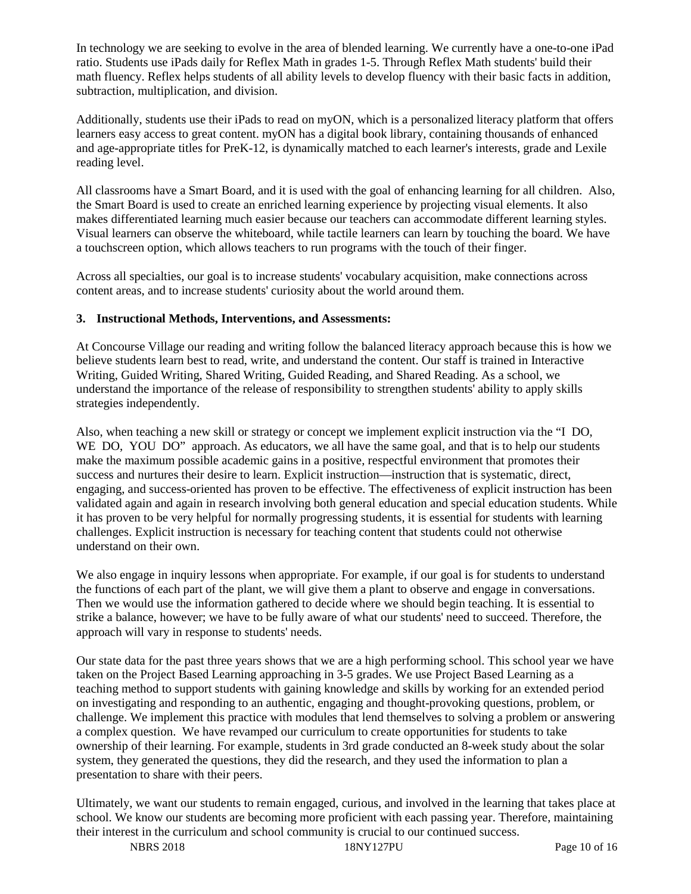In technology we are seeking to evolve in the area of blended learning. We currently have a one-to-one iPad ratio. Students use iPads daily for Reflex Math in grades 1-5. Through Reflex Math students' build their math fluency. Reflex helps students of all ability levels to develop fluency with their basic facts in addition, subtraction, multiplication, and division.

Additionally, students use their iPads to read on myON, which is a personalized literacy platform that offers learners easy access to great content. myON has a digital book library, containing thousands of enhanced and age-appropriate titles for PreK-12, is dynamically matched to each learner's interests, grade and Lexile reading level.

All classrooms have a Smart Board, and it is used with the goal of enhancing learning for all children. Also, the Smart Board is used to create an enriched learning experience by projecting visual elements. It also makes differentiated learning much easier because our teachers can accommodate different learning styles. Visual learners can observe the whiteboard, while tactile learners can learn by touching the board. We have a touchscreen option, which allows teachers to run programs with the touch of their finger.

Across all specialties, our goal is to increase students' vocabulary acquisition, make connections across content areas, and to increase students' curiosity about the world around them.

### **3. Instructional Methods, Interventions, and Assessments:**

At Concourse Village our reading and writing follow the balanced literacy approach because this is how we believe students learn best to read, write, and understand the content. Our staff is trained in Interactive Writing, Guided Writing, Shared Writing, Guided Reading, and Shared Reading. As a school, we understand the importance of the release of responsibility to strengthen students' ability to apply skills strategies independently.

Also, when teaching a new skill or strategy or concept we implement explicit instruction via the "I DO, WE DO, YOU DO" approach. As educators, we all have the same goal, and that is to help our students make the maximum possible academic gains in a positive, respectful environment that promotes their success and nurtures their desire to learn. Explicit instruction—instruction that is systematic, direct, engaging, and success-oriented has proven to be effective. The effectiveness of explicit instruction has been validated again and again in research involving both general education and special education students. While it has proven to be very helpful for normally progressing students, it is essential for students with learning challenges. Explicit instruction is necessary for teaching content that students could not otherwise understand on their own.

We also engage in inquiry lessons when appropriate. For example, if our goal is for students to understand the functions of each part of the plant, we will give them a plant to observe and engage in conversations. Then we would use the information gathered to decide where we should begin teaching. It is essential to strike a balance, however; we have to be fully aware of what our students' need to succeed. Therefore, the approach will vary in response to students' needs.

Our state data for the past three years shows that we are a high performing school. This school year we have taken on the Project Based Learning approaching in 3-5 grades. We use Project Based Learning as a teaching method to support students with gaining knowledge and skills by working for an extended period on investigating and responding to an authentic, engaging and thought-provoking questions, problem, or challenge. We implement this practice with modules that lend themselves to solving a problem or answering a complex question. We have revamped our curriculum to create opportunities for students to take ownership of their learning. For example, students in 3rd grade conducted an 8-week study about the solar system, they generated the questions, they did the research, and they used the information to plan a presentation to share with their peers.

Ultimately, we want our students to remain engaged, curious, and involved in the learning that takes place at school. We know our students are becoming more proficient with each passing year. Therefore, maintaining their interest in the curriculum and school community is crucial to our continued success.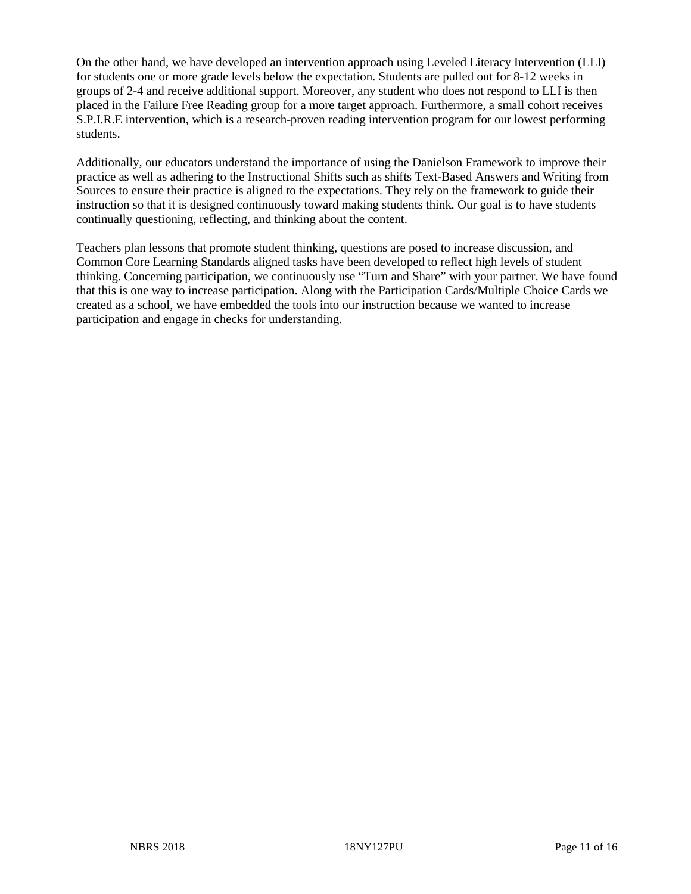On the other hand, we have developed an intervention approach using Leveled Literacy Intervention (LLI) for students one or more grade levels below the expectation. Students are pulled out for 8-12 weeks in groups of 2-4 and receive additional support. Moreover, any student who does not respond to LLI is then placed in the Failure Free Reading group for a more target approach. Furthermore, a small cohort receives S.P.I.R.E intervention, which is a research-proven reading intervention program for our lowest performing students.

Additionally, our educators understand the importance of using the Danielson Framework to improve their practice as well as adhering to the Instructional Shifts such as shifts Text-Based Answers and Writing from Sources to ensure their practice is aligned to the expectations. They rely on the framework to guide their instruction so that it is designed continuously toward making students think. Our goal is to have students continually questioning, reflecting, and thinking about the content.

Teachers plan lessons that promote student thinking, questions are posed to increase discussion, and Common Core Learning Standards aligned tasks have been developed to reflect high levels of student thinking. Concerning participation, we continuously use "Turn and Share" with your partner. We have found that this is one way to increase participation. Along with the Participation Cards/Multiple Choice Cards we created as a school, we have embedded the tools into our instruction because we wanted to increase participation and engage in checks for understanding.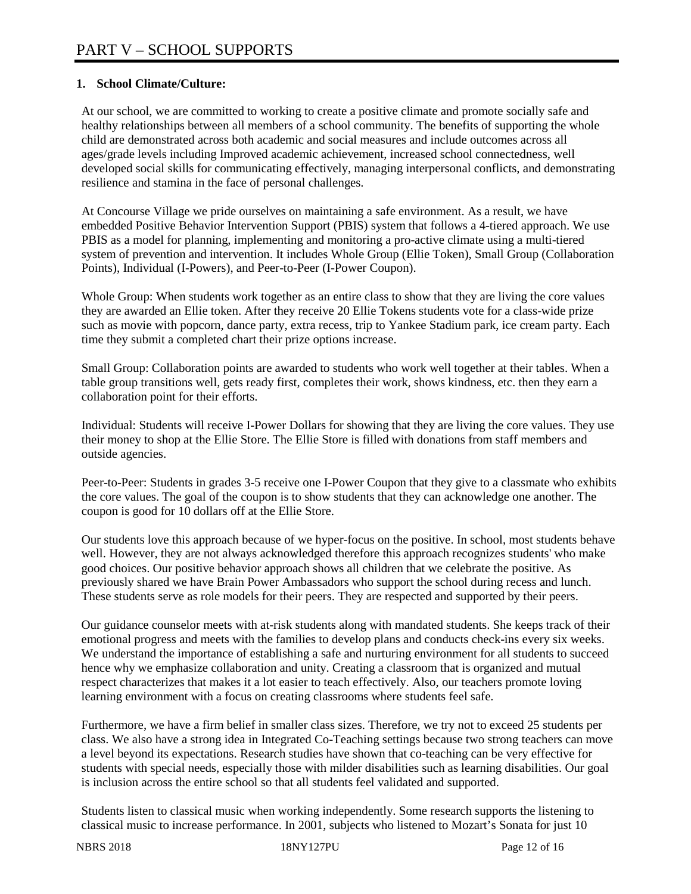## **1. School Climate/Culture:**

At our school, we are committed to working to create a positive climate and promote socially safe and healthy relationships between all members of a school community. The benefits of supporting the whole child are demonstrated across both academic and social measures and include outcomes across all ages/grade levels including Improved academic achievement, increased school connectedness, well developed social skills for communicating effectively, managing interpersonal conflicts, and demonstrating resilience and stamina in the face of personal challenges.

At Concourse Village we pride ourselves on maintaining a safe environment. As a result, we have embedded Positive Behavior Intervention Support (PBIS) system that follows a 4-tiered approach. We use PBIS as a model for planning, implementing and monitoring a pro-active climate using a multi-tiered system of prevention and intervention. It includes Whole Group (Ellie Token), Small Group (Collaboration Points), Individual (I-Powers), and Peer-to-Peer (I-Power Coupon).

Whole Group: When students work together as an entire class to show that they are living the core values they are awarded an Ellie token. After they receive 20 Ellie Tokens students vote for a class-wide prize such as movie with popcorn, dance party, extra recess, trip to Yankee Stadium park, ice cream party. Each time they submit a completed chart their prize options increase.

Small Group: Collaboration points are awarded to students who work well together at their tables. When a table group transitions well, gets ready first, completes their work, shows kindness, etc. then they earn a collaboration point for their efforts.

Individual: Students will receive I-Power Dollars for showing that they are living the core values. They use their money to shop at the Ellie Store. The Ellie Store is filled with donations from staff members and outside agencies.

Peer-to-Peer: Students in grades 3-5 receive one I-Power Coupon that they give to a classmate who exhibits the core values. The goal of the coupon is to show students that they can acknowledge one another. The coupon is good for 10 dollars off at the Ellie Store.

Our students love this approach because of we hyper-focus on the positive. In school, most students behave well. However, they are not always acknowledged therefore this approach recognizes students' who make good choices. Our positive behavior approach shows all children that we celebrate the positive. As previously shared we have Brain Power Ambassadors who support the school during recess and lunch. These students serve as role models for their peers. They are respected and supported by their peers.

Our guidance counselor meets with at-risk students along with mandated students. She keeps track of their emotional progress and meets with the families to develop plans and conducts check-ins every six weeks. We understand the importance of establishing a safe and nurturing environment for all students to succeed hence why we emphasize collaboration and unity. Creating a classroom that is organized and mutual respect characterizes that makes it a lot easier to teach effectively. Also, our teachers promote loving learning environment with a focus on creating classrooms where students feel safe.

Furthermore, we have a firm belief in smaller class sizes. Therefore, we try not to exceed 25 students per class. We also have a strong idea in Integrated Co-Teaching settings because two strong teachers can move a level beyond its expectations. Research studies have shown that co-teaching can be very effective for students with special needs, especially those with milder disabilities such as learning disabilities. Our goal is inclusion across the entire school so that all students feel validated and supported.

Students listen to classical music when working independently. Some research supports the listening to classical music to increase performance. In 2001, subjects who listened to Mozart's Sonata for just 10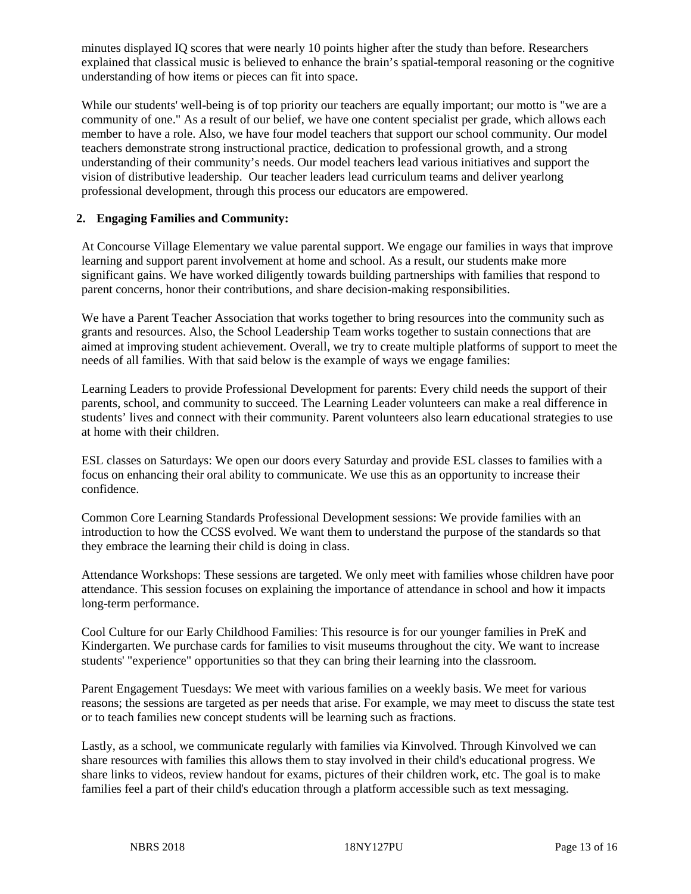minutes displayed IQ scores that were nearly 10 points higher after the study than before. Researchers explained that classical music is believed to enhance the brain's spatial-temporal reasoning or the cognitive understanding of how items or pieces can fit into space.

While our students' well-being is of top priority our teachers are equally important; our motto is "we are a community of one." As a result of our belief, we have one content specialist per grade, which allows each member to have a role. Also, we have four model teachers that support our school community. Our model teachers demonstrate strong instructional practice, dedication to professional growth, and a strong understanding of their community's needs. Our model teachers lead various initiatives and support the vision of distributive leadership. Our teacher leaders lead curriculum teams and deliver yearlong professional development, through this process our educators are empowered.

#### **2. Engaging Families and Community:**

At Concourse Village Elementary we value parental support. We engage our families in ways that improve learning and support parent involvement at home and school. As a result, our students make more significant gains. We have worked diligently towards building partnerships with families that respond to parent concerns, honor their contributions, and share decision-making responsibilities.

We have a Parent Teacher Association that works together to bring resources into the community such as grants and resources. Also, the School Leadership Team works together to sustain connections that are aimed at improving student achievement. Overall, we try to create multiple platforms of support to meet the needs of all families. With that said below is the example of ways we engage families:

Learning Leaders to provide Professional Development for parents: Every child needs the support of their parents, school, and community to succeed. The Learning Leader volunteers can make a real difference in students' lives and connect with their community. Parent volunteers also learn educational strategies to use at home with their children.

ESL classes on Saturdays: We open our doors every Saturday and provide ESL classes to families with a focus on enhancing their oral ability to communicate. We use this as an opportunity to increase their confidence.

Common Core Learning Standards Professional Development sessions: We provide families with an introduction to how the CCSS evolved. We want them to understand the purpose of the standards so that they embrace the learning their child is doing in class.

Attendance Workshops: These sessions are targeted. We only meet with families whose children have poor attendance. This session focuses on explaining the importance of attendance in school and how it impacts long-term performance.

Cool Culture for our Early Childhood Families: This resource is for our younger families in PreK and Kindergarten. We purchase cards for families to visit museums throughout the city. We want to increase students' "experience" opportunities so that they can bring their learning into the classroom.

Parent Engagement Tuesdays: We meet with various families on a weekly basis. We meet for various reasons; the sessions are targeted as per needs that arise. For example, we may meet to discuss the state test or to teach families new concept students will be learning such as fractions.

Lastly, as a school, we communicate regularly with families via Kinvolved. Through Kinvolved we can share resources with families this allows them to stay involved in their child's educational progress. We share links to videos, review handout for exams, pictures of their children work, etc. The goal is to make families feel a part of their child's education through a platform accessible such as text messaging.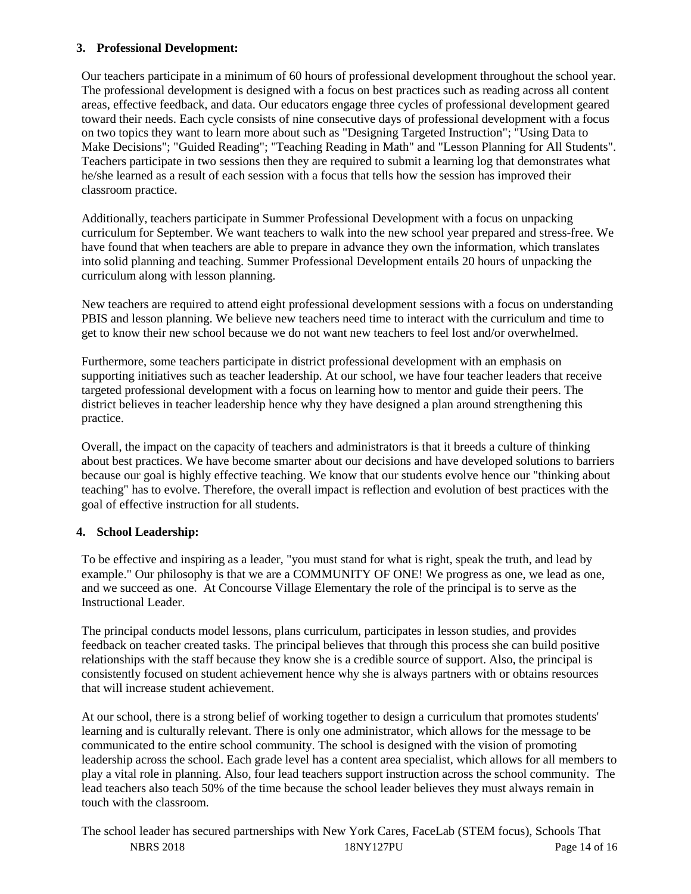#### **3. Professional Development:**

Our teachers participate in a minimum of 60 hours of professional development throughout the school year. The professional development is designed with a focus on best practices such as reading across all content areas, effective feedback, and data. Our educators engage three cycles of professional development geared toward their needs. Each cycle consists of nine consecutive days of professional development with a focus on two topics they want to learn more about such as "Designing Targeted Instruction"; "Using Data to Make Decisions"; "Guided Reading"; "Teaching Reading in Math" and "Lesson Planning for All Students". Teachers participate in two sessions then they are required to submit a learning log that demonstrates what he/she learned as a result of each session with a focus that tells how the session has improved their classroom practice.

Additionally, teachers participate in Summer Professional Development with a focus on unpacking curriculum for September. We want teachers to walk into the new school year prepared and stress-free. We have found that when teachers are able to prepare in advance they own the information, which translates into solid planning and teaching. Summer Professional Development entails 20 hours of unpacking the curriculum along with lesson planning.

New teachers are required to attend eight professional development sessions with a focus on understanding PBIS and lesson planning. We believe new teachers need time to interact with the curriculum and time to get to know their new school because we do not want new teachers to feel lost and/or overwhelmed.

Furthermore, some teachers participate in district professional development with an emphasis on supporting initiatives such as teacher leadership. At our school, we have four teacher leaders that receive targeted professional development with a focus on learning how to mentor and guide their peers. The district believes in teacher leadership hence why they have designed a plan around strengthening this practice.

Overall, the impact on the capacity of teachers and administrators is that it breeds a culture of thinking about best practices. We have become smarter about our decisions and have developed solutions to barriers because our goal is highly effective teaching. We know that our students evolve hence our "thinking about teaching" has to evolve. Therefore, the overall impact is reflection and evolution of best practices with the goal of effective instruction for all students.

# **4. School Leadership:**

To be effective and inspiring as a leader, "you must stand for what is right, speak the truth, and lead by example." Our philosophy is that we are a COMMUNITY OF ONE! We progress as one, we lead as one, and we succeed as one. At Concourse Village Elementary the role of the principal is to serve as the Instructional Leader.

The principal conducts model lessons, plans curriculum, participates in lesson studies, and provides feedback on teacher created tasks. The principal believes that through this process she can build positive relationships with the staff because they know she is a credible source of support. Also, the principal is consistently focused on student achievement hence why she is always partners with or obtains resources that will increase student achievement.

At our school, there is a strong belief of working together to design a curriculum that promotes students' learning and is culturally relevant. There is only one administrator, which allows for the message to be communicated to the entire school community. The school is designed with the vision of promoting leadership across the school. Each grade level has a content area specialist, which allows for all members to play a vital role in planning. Also, four lead teachers support instruction across the school community. The lead teachers also teach 50% of the time because the school leader believes they must always remain in touch with the classroom.

NBRS 2018 18NY127PU Page 14 of 16 The school leader has secured partnerships with New York Cares, FaceLab (STEM focus), Schools That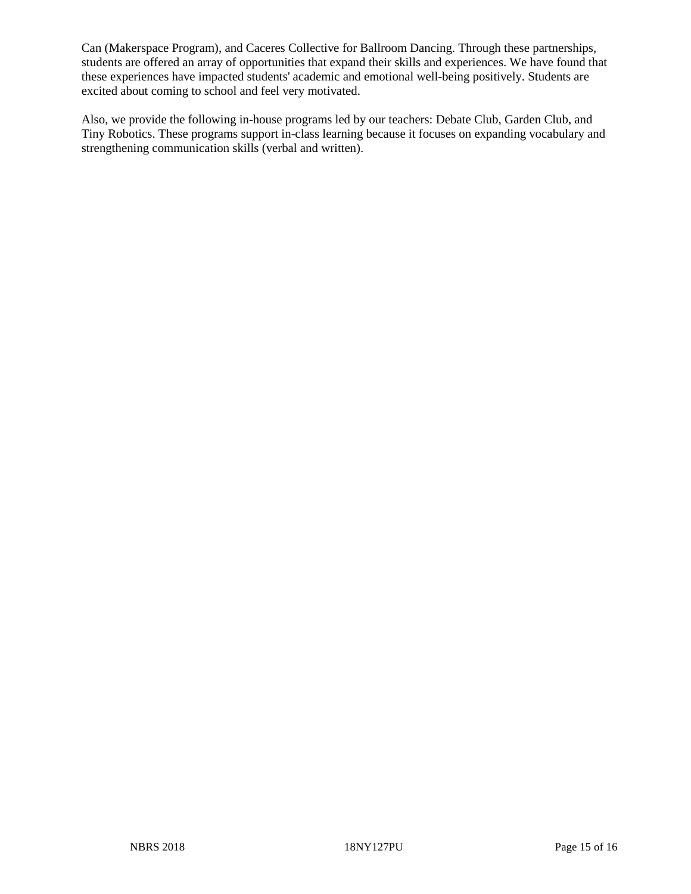Can (Makerspace Program), and Caceres Collective for Ballroom Dancing. Through these partnerships, students are offered an array of opportunities that expand their skills and experiences. We have found that these experiences have impacted students' academic and emotional well-being positively. Students are excited about coming to school and feel very motivated.

Also, we provide the following in-house programs led by our teachers: Debate Club, Garden Club, and Tiny Robotics. These programs support in-class learning because it focuses on expanding vocabulary and strengthening communication skills (verbal and written).